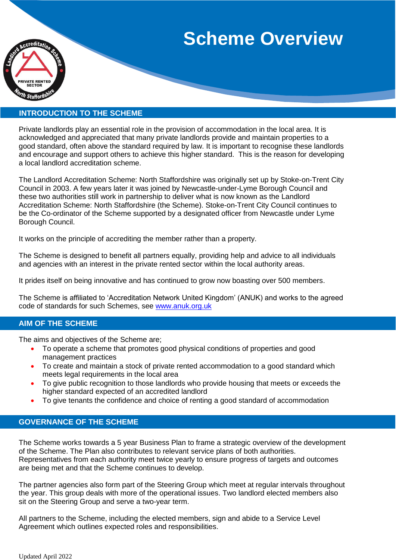# **Scheme Overview**



## **INTRODUCTION TO THE SCHEME**

Private landlords play an essential role in the provision of accommodation in the local area. It is acknowledged and appreciated that many private landlords provide and maintain properties to a good standard, often above the standard required by law. It is important to recognise these landlords and encourage and support others to achieve this higher standard. This is the reason for developing a local landlord accreditation scheme.

The Landlord Accreditation Scheme: North Staffordshire was originally set up by Stoke-on-Trent City Council in 2003. A few years later it was joined by Newcastle-under-Lyme Borough Council and these two authorities still work in partnership to deliver what is now known as the Landlord Accreditation Scheme: North Staffordshire (the Scheme). Stoke-on-Trent City Council continues to be the Co-ordinator of the Scheme supported by a designated officer from Newcastle under Lyme Borough Council.

It works on the principle of accrediting the member rather than a property.

The Scheme is designed to benefit all partners equally, providing help and advice to all individuals and agencies with an interest in the private rented sector within the local authority areas.

It prides itself on being innovative and has continued to grow now boasting over 500 members.

The Scheme is affiliated to 'Accreditation Network United Kingdom' (ANUK) and works to the agreed code of standards for such Schemes, see [www.anuk.org.uk](http://www.anuk.org.uk/)

## **AIM OF THE SCHEME**

The aims and objectives of the Scheme are;

- To operate a scheme that promotes good physical conditions of properties and good management practices
- To create and maintain a stock of private rented accommodation to a good standard which meets legal requirements in the local area
- To give public recognition to those landlords who provide housing that meets or exceeds the higher standard expected of an accredited landlord
- To give tenants the confidence and choice of renting a good standard of accommodation

## **GOVERNANCE OF THE SCHEME**

The Scheme works towards a 5 year Business Plan to frame a strategic overview of the development of the Scheme. The Plan also contributes to relevant service plans of both authorities. Representatives from each authority meet twice yearly to ensure progress of targets and outcomes are being met and that the Scheme continues to develop.

The partner agencies also form part of the Steering Group which meet at regular intervals throughout the year. This group deals with more of the operational issues. Two landlord elected members also sit on the Steering Group and serve a two-year term.

All partners to the Scheme, including the elected members, sign and abide to a Service Level Agreement which outlines expected roles and responsibilities.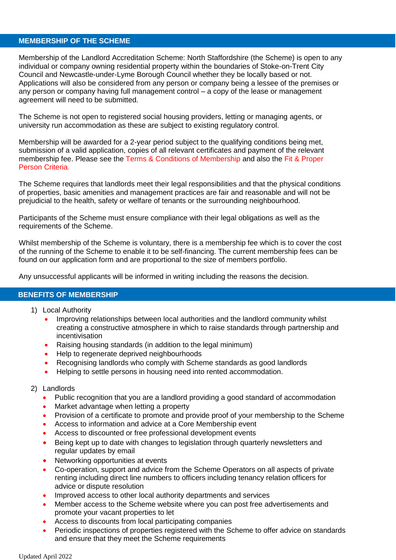#### **MEMBERSHIP OF THE SCHEME**

Membership of the Landlord Accreditation Scheme: North Staffordshire (the Scheme) is open to any individual or company owning residential property within the boundaries of Stoke-on-Trent City Council and Newcastle-under-Lyme Borough Council whether they be locally based or not. Applications will also be considered from any person or company being a lessee of the premises or any person or company having full management control – a copy of the lease or management agreement will need to be submitted.

The Scheme is not open to registered social housing providers, letting or managing agents, or university run accommodation as these are subject to existing regulatory control.

Membership will be awarded for a 2-year period subject to the qualifying conditions being met, submission of a valid application, copies of all relevant certificates and payment of the relevant membership fee. Please see the Terms & Conditions of Membership and also the Fit & Proper Person Criteria.

The Scheme requires that landlords meet their legal responsibilities and that the physical conditions of properties, basic amenities and management practices are fair and reasonable and will not be prejudicial to the health, safety or welfare of tenants or the surrounding neighbourhood.

Participants of the Scheme must ensure compliance with their legal obligations as well as the requirements of the Scheme.

Whilst membership of the Scheme is voluntary, there is a membership fee which is to cover the cost of the running of the Scheme to enable it to be self-financing. The current membership fees can be found on our application form and are proportional to the size of members portfolio.

Any unsuccessful applicants will be informed in writing including the reasons the decision.

## **BENEFITS OF MEMBERSHIP**

- 1) Local Authority
	- Improving relationships between local authorities and the landlord community whilst creating a constructive atmosphere in which to raise standards through partnership and incentivisation
	- Raising housing standards (in addition to the legal minimum)
	- Help to regenerate deprived neighbourhoods
	- Recognising landlords who comply with Scheme standards as good landlords
	- Helping to settle persons in housing need into rented accommodation.
- 2) Landlords
	- Public recognition that you are a landlord providing a good standard of accommodation
	- Market advantage when letting a property
	- Provision of a certificate to promote and provide proof of your membership to the Scheme
	- Access to information and advice at a Core Membership event
	- Access to discounted or free professional development events
	- Being kept up to date with changes to legislation through quarterly newsletters and regular updates by email
	- Networking opportunities at events
	- Co-operation, support and advice from the Scheme Operators on all aspects of private renting including direct line numbers to officers including tenancy relation officers for advice or dispute resolution
	- Improved access to other local authority departments and services
	- Member access to the Scheme website where you can post free advertisements and promote your vacant properties to let
	- Access to discounts from local participating companies
	- Periodic inspections of properties registered with the Scheme to offer advice on standards and ensure that they meet the Scheme requirements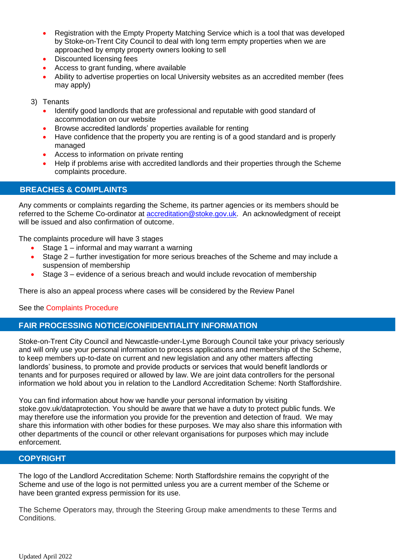- Registration with the Empty Property Matching Service which is a tool that was developed by Stoke-on-Trent City Council to deal with long term empty properties when we are approached by empty property owners looking to sell
- Discounted licensing fees
- Access to grant funding, where available
- Ability to advertise properties on local University websites as an accredited member (fees may apply)
- 3) Tenants
	- Identify good landlords that are professional and reputable with good standard of accommodation on our website
	- Browse accredited landlords' properties available for renting
	- Have confidence that the property you are renting is of a good standard and is properly managed
	- Access to information on private renting
	- Help if problems arise with accredited landlords and their properties through the Scheme complaints procedure.

## **BREACHES & COMPLAINTS**

Any comments or complaints regarding the Scheme, its partner agencies or its members should be referred to the Scheme Co-ordinator at **accreditation@stoke.gov.uk**. An acknowledgment of receipt will be issued and also confirmation of outcome.

The complaints procedure will have 3 stages

- Stage 1 informal and may warrant a warning
- Stage 2 further investigation for more serious breaches of the Scheme and may include a suspension of membership
- Stage 3 evidence of a serious breach and would include revocation of membership

There is also an appeal process where cases will be considered by the Review Panel

See the Complaints Procedure

## **FAIR PROCESSING NOTICE/CONFIDENTIALITY INFORMATION**

Stoke-on-Trent City Council and Newcastle-under-Lyme Borough Council take your privacy seriously and will only use your personal information to process applications and membership of the Scheme, to keep members up-to-date on current and new legislation and any other matters affecting landlords' business, to promote and provide products or services that would benefit landlords or tenants and for purposes required or allowed by law. We are joint data controllers for the personal information we hold about you in relation to the Landlord Accreditation Scheme: North Staffordshire.

You can find information about how we handle your personal information by visiting stoke.gov.uk/dataprotection. You should be aware that we have a duty to protect public funds. We may therefore use the information you provide for the prevention and detection of fraud. We may share this information with other bodies for these purposes. We may also share this information with other departments of the council or other relevant organisations for purposes which may include enforcement.

### **COPYRIGHT**

The logo of the Landlord Accreditation Scheme: North Staffordshire remains the copyright of the Scheme and use of the logo is not permitted unless you are a current member of the Scheme or have been granted express permission for its use.

The Scheme Operators may, through the Steering Group make amendments to these Terms and Conditions.